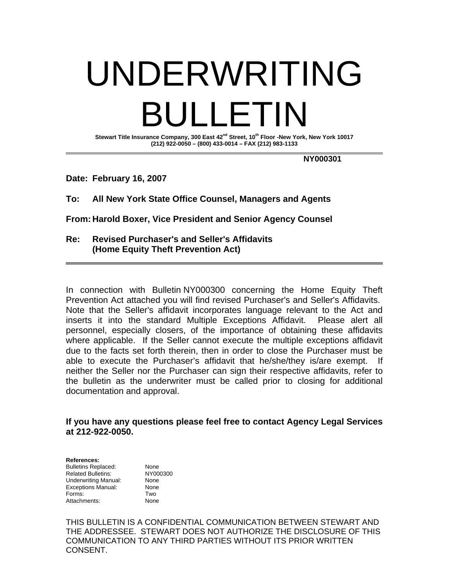# UNDERWRITING BULLETIN

**Stewart Title Insurance Company, 300 East 42nd Street, 10th Floor -New York, New York 10017 (212) 922-0050 – (800) 433-0014 – FAX (212) 983-1133** 

 **NY000301** 

**Date: February 16, 2007** 

**To: All New York State Office Counsel, Managers and Agents** 

**From: Harold Boxer, Vice President and Senior Agency Counsel** 

**Re: Revised Purchaser's and Seller's Affidavits (Home Equity Theft Prevention Act)** 

In connection with Bulletin NY000300 concerning the Home Equity Theft Prevention Act attached you will find revised Purchaser's and Seller's Affidavits. Note that the Seller's affidavit incorporates language relevant to the Act and inserts it into the standard Multiple Exceptions Affidavit. Please alert all personnel, especially closers, of the importance of obtaining these affidavits where applicable. If the Seller cannot execute the multiple exceptions affidavit due to the facts set forth therein, then in order to close the Purchaser must be able to execute the Purchaser's affidavit that he/she/they is/are exempt. If neither the Seller nor the Purchaser can sign their respective affidavits, refer to the bulletin as the underwriter must be called prior to closing for additional documentation and approval.

#### **If you have any questions please feel free to contact Agency Legal Services at 212-922-0050.**

**References:**  Bulletins Replaced: None Related Bulletins: NY000300 Underwriting Manual: None Exceptions Manual: None Forms: Two Attachments: None

THIS BULLETIN IS A CONFIDENTIAL COMMUNICATION BETWEEN STEWART AND THE ADDRESSEE. STEWART DOES NOT AUTHORIZE THE DISCLOSURE OF THIS COMMUNICATION TO ANY THIRD PARTIES WITHOUT ITS PRIOR WRITTEN CONSENT.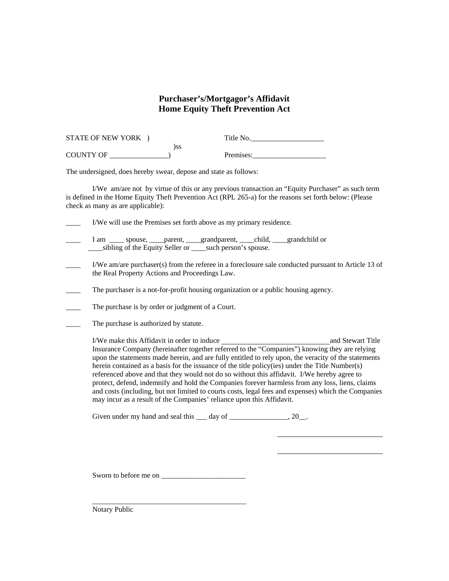## **Purchaser's/Mortgagor's Affidavit Home Equity Theft Prevention Act**

| <b>STATE OF NEW YORK</b> |     | Title No. |  |
|--------------------------|-----|-----------|--|
|                          | )SS |           |  |
| <b>COUNTY OF</b>         |     | Premises: |  |

The undersigned, does hereby swear, depose and state as follows:

 I/We am/are not by virtue of this or any previous transaction an "Equity Purchaser" as such term is defined in the Home Equity Theft Prevention Act (RPL 265-a) for the reasons set forth below: (Please check as many as are applicable):

\_\_\_\_ I/We will use the Premises set forth above as my primary residence.

- I am \_\_\_\_ spouse, \_\_\_\_parent, \_\_\_\_grandparent, \_\_\_\_child, \_\_\_\_grandchild or sibling of the Equity Seller or such person's spouse.
- \_\_\_\_ I/We am/are purchaser(s) from the referee in a foreclosure sale conducted pursuant to Article 13 of the Real Property Actions and Proceedings Law.
- \_\_\_\_ The purchaser is a not-for-profit housing organization or a public housing agency.
- The purchase is by order or judgment of a Court.
- The purchase is authorized by statute.

 I/We make this Affidavit in order to induce and Stewart Title Insurance Company (hereinafter together referred to the "Companies") knowing they are relying upon the statements made herein, and are fully entitled to rely upon, the veracity of the statements herein contained as a basis for the issuance of the title policy(ies) under the Title Number(s) referenced above and that they would not do so without this affidavit. I/We hereby agree to protect, defend, indemnify and hold the Companies forever harmless from any loss, liens, claims and costs (including, but not limited to courts costs, legal fees and expenses) which the Companies may incur as a result of the Companies' reliance upon this Affidavit.

Given under my hand and seal this  $\frac{day}{dx}$  of  $\frac{20}{x^2}$ .

Sworn to before me on \_\_\_\_\_\_\_\_\_\_\_\_\_\_\_\_\_\_\_\_\_\_\_

 $\overline{\phantom{a}}$  ,  $\overline{\phantom{a}}$  ,  $\overline{\phantom{a}}$  ,  $\overline{\phantom{a}}$  ,  $\overline{\phantom{a}}$  ,  $\overline{\phantom{a}}$  ,  $\overline{\phantom{a}}$  ,  $\overline{\phantom{a}}$  ,  $\overline{\phantom{a}}$  ,  $\overline{\phantom{a}}$  ,  $\overline{\phantom{a}}$  ,  $\overline{\phantom{a}}$  ,  $\overline{\phantom{a}}$  ,  $\overline{\phantom{a}}$  ,  $\overline{\phantom{a}}$  ,  $\overline{\phantom{a}}$ 

Notary Public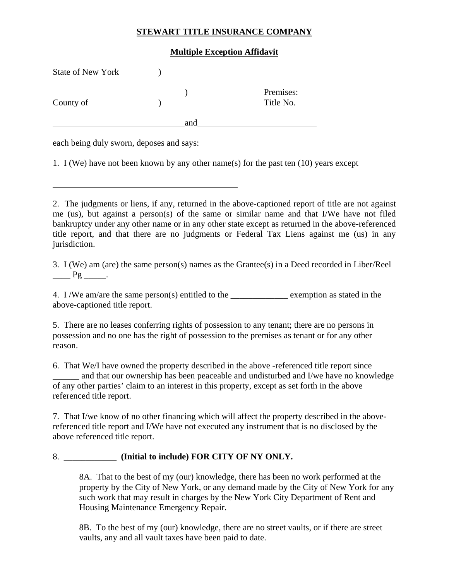## **STEWART TITLE INSURANCE COMPANY**

#### **Multiple Exception Affidavit**

| <b>State of New York</b> |     |                        |
|--------------------------|-----|------------------------|
| County of                |     | Premises:<br>Title No. |
|                          | and |                        |

each being duly sworn, deposes and says:

l

1. I (We) have not been known by any other name(s) for the past ten (10) years except

2. The judgments or liens, if any, returned in the above-captioned report of title are not against me (us), but against a person(s) of the same or similar name and that I/We have not filed bankruptcy under any other name or in any other state except as returned in the above-referenced title report, and that there are no judgments or Federal Tax Liens against me (us) in any jurisdiction.

3. I (We) am (are) the same person(s) names as the Grantee(s) in a Deed recorded in Liber/Reel  $Pg$   $\qquad$ .

4. I /We am/are the same person(s) entitled to the exemption as stated in the above-captioned title report.

5. There are no leases conferring rights of possession to any tenant; there are no persons in possession and no one has the right of possession to the premises as tenant or for any other reason.

6. That We/I have owned the property described in the above -referenced title report since and that our ownership has been peaceable and undisturbed and I/we have no knowledge of any other parties' claim to an interest in this property, except as set forth in the above referenced title report.

7. That I/we know of no other financing which will affect the property described in the abovereferenced title report and I/We have not executed any instrument that is no disclosed by the above referenced title report.

# 8. \_\_\_\_\_\_\_\_\_\_\_\_ **(Initial to include) FOR CITY OF NY ONLY.**

 8A. That to the best of my (our) knowledge, there has been no work performed at the property by the City of New York, or any demand made by the City of New York for any such work that may result in charges by the New York City Department of Rent and Housing Maintenance Emergency Repair.

 8B. To the best of my (our) knowledge, there are no street vaults, or if there are street vaults, any and all vault taxes have been paid to date.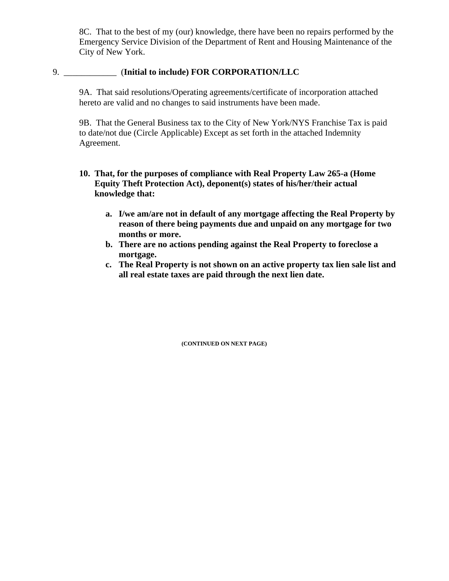8C. That to the best of my (our) knowledge, there have been no repairs performed by the Emergency Service Division of the Department of Rent and Housing Maintenance of the City of New York.

#### 9. \_\_\_\_\_\_\_\_\_\_\_\_ (**Initial to include) FOR CORPORATION/LLC**

 9A. That said resolutions/Operating agreements/certificate of incorporation attached hereto are valid and no changes to said instruments have been made.

 9B. That the General Business tax to the City of New York/NYS Franchise Tax is paid to date/not due (Circle Applicable) Except as set forth in the attached Indemnity Agreement.

- **10. That, for the purposes of compliance with Real Property Law 265-a (Home Equity Theft Protection Act), deponent(s) states of his/her/their actual knowledge that:** 
	- **a. I/we am/are not in default of any mortgage affecting the Real Property by reason of there being payments due and unpaid on any mortgage for two months or more.**
	- **b. There are no actions pending against the Real Property to foreclose a mortgage.**
	- **c. The Real Property is not shown on an active property tax lien sale list and all real estate taxes are paid through the next lien date.**

**(CONTINUED ON NEXT PAGE)**